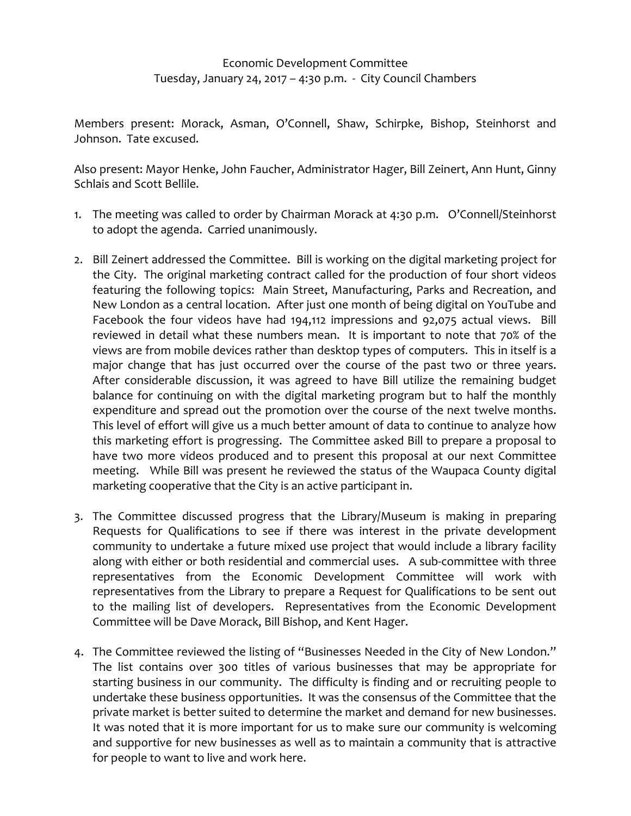## Economic Development Committee Tuesday, January 24, 2017 – 4:30 p.m. ‐ City Council Chambers

Members present: Morack, Asman, O'Connell, Shaw, Schirpke, Bishop, Steinhorst and Johnson. Tate excused.

Also present: Mayor Henke, John Faucher, Administrator Hager, Bill Zeinert, Ann Hunt, Ginny Schlais and Scott Bellile.

- 1. The meeting was called to order by Chairman Morack at 4:30 p.m. O'Connell/Steinhorst to adopt the agenda. Carried unanimously.
- 2. Bill Zeinert addressed the Committee. Bill is working on the digital marketing project for the City. The original marketing contract called for the production of four short videos featuring the following topics: Main Street, Manufacturing, Parks and Recreation, and New London as a central location. After just one month of being digital on YouTube and Facebook the four videos have had 194,112 impressions and 92,075 actual views. Bill reviewed in detail what these numbers mean. It is important to note that 70% of the views are from mobile devices rather than desktop types of computers. This in itself is a major change that has just occurred over the course of the past two or three years. After considerable discussion, it was agreed to have Bill utilize the remaining budget balance for continuing on with the digital marketing program but to half the monthly expenditure and spread out the promotion over the course of the next twelve months. This level of effort will give us a much better amount of data to continue to analyze how this marketing effort is progressing. The Committee asked Bill to prepare a proposal to have two more videos produced and to present this proposal at our next Committee meeting. While Bill was present he reviewed the status of the Waupaca County digital marketing cooperative that the City is an active participant in.
- 3. The Committee discussed progress that the Library/Museum is making in preparing Requests for Qualifications to see if there was interest in the private development community to undertake a future mixed use project that would include a library facility along with either or both residential and commercial uses. A sub‐committee with three representatives from the Economic Development Committee will work with representatives from the Library to prepare a Request for Qualifications to be sent out to the mailing list of developers. Representatives from the Economic Development Committee will be Dave Morack, Bill Bishop, and Kent Hager.
- 4. The Committee reviewed the listing of "Businesses Needed in the City of New London." The list contains over 300 titles of various businesses that may be appropriate for starting business in our community. The difficulty is finding and or recruiting people to undertake these business opportunities. It was the consensus of the Committee that the private market is better suited to determine the market and demand for new businesses. It was noted that it is more important for us to make sure our community is welcoming and supportive for new businesses as well as to maintain a community that is attractive for people to want to live and work here.